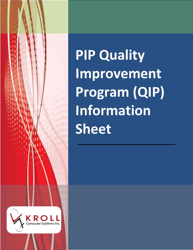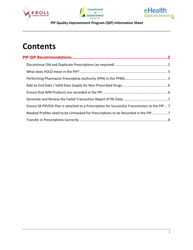





# **Contents**

| Ensure SK PIP/DIS Plan is attached to a Prescription for Successful Transmission to the PIP  7 |  |
|------------------------------------------------------------------------------------------------|--|
| Masked Profiles need to be Unmasked for Prescriptions to be Recorded in the PIP  7             |  |
|                                                                                                |  |
|                                                                                                |  |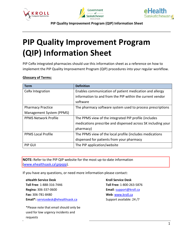





# **PIP Quality Improvement Program (QIP) Information Sheet**

PIP CeRx integrated pharmacies should use this information sheet as a reference on how to implement the PIP Quality Improvement Program (QIP) procedures into your regular workflow.

#### **Glossary of Terms:**

| Term                        | <b>Definition</b>                                            |
|-----------------------------|--------------------------------------------------------------|
| CeRx Integration            | Enables communication of patient medication and allergy      |
|                             | information to and from the PIP within the current vendor    |
|                             | software                                                     |
| <b>Pharmacy Practice</b>    | The pharmacy software system used to process prescriptions   |
| Management System (PPMS)    |                                                              |
| <b>PPMS Network Profile</b> | The PPMS view of the integrated PIP profile (includes        |
|                             | medications prescribe and dispensed across SK including your |
|                             | pharmacy)                                                    |
| <b>PPMS Local Profile</b>   | The PPMS view of the local profile (includes medications     |
|                             | dispensed for patients from your pharmacy                    |
| PIP GUI                     | The PIP application/website                                  |

**NOTE:** Refer to the PIP QIP website for the most up-to-date information [\(www.ehealthsask.ca\pipqip\)](http://www.ehealthsask.ca/pipqip).

If you have any questions, or need more information please contact:

**eHealth Service Desk Toll Free**: 1-888-316-7446 **Regina:** 306-337-0600 **Fax:** 306-781-8480 **Email\*:** [servicedesk@ehealthsask.ca](mailto:servicedesk@ehealthsask.ca)

\*Please note that email should only be used for low urgency incidents and requests

**Kroll Service Desk**

**Toll Free:** 1-800-263-5876 **Email**[: support@kroll.ca](mailto:support@kroll.ca) **Web**: [www.kroll.ca](http://www.kroll.ca/) Support available: 24 /7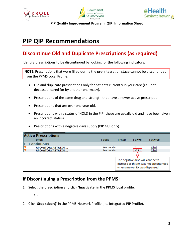





# <span id="page-3-0"></span>**PIP QIP Recommendations**

### <span id="page-3-1"></span>**Discontinue Old and Duplicate Prescriptions (as required)**

Identify prescriptions to be discontinued by looking for the following indicators:

**NOTE:** Prescriptions that were filled during the pre-integration stage cannot be discontinued from the PPMS Local Profile.

- Old and duplicate prescriptions only for patients currently in your care (i.e., not deceased, cared for by another pharmacy).
- Prescriptions of the same drug and strength that have a newer active prescription.
- Prescriptions that are over one year old.
- Prescriptions with a status of HOLD in the PIP (these are usually old and have been given an incorrect status).
- Prescriptions with a negative days supply (PIP GUI only).

| <b>Active Prescriptions</b> |             |             |                                                                     |                                          |  |
|-----------------------------|-------------|-------------|---------------------------------------------------------------------|------------------------------------------|--|
| <b>DRUG</b>                 | <b>DOSE</b> | <b>FREO</b> | <b>IDAYS</b>                                                        | <b>STATUS</b>                            |  |
| <b>Continuous</b>           |             |             |                                                                     |                                          |  |
| APO-ATORVASTATIN            | See details |             |                                                                     | Filled                                   |  |
| APO-ATORVASTATIN            | See details |             | $-271$                                                              | Filled                                   |  |
|                             |             |             |                                                                     |                                          |  |
|                             |             |             | The negative days will contine to<br>when a newer Rx was dispensed. | increase as this Rx was not discontinued |  |

#### **If Discontinuing a Prescription from the PPMS:**

1. Select the prescription and click '**Inactivate**' in the PPMS local profile.

OR

2. Click '**Stop (abort)**' in the PPMS Network Profile (i.e. Integrated PIP Profile).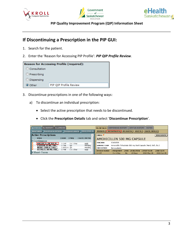





#### **If Discontinuing a Prescription in the PIP GUI:**

- 1. Search for the patient.
- 2. Enter the 'Reason for Accessing PIP Profile': *PIP QIP Profile Review.*

| <b>Reason for Accessing Profile (required):</b> |                        |  |  |  |  |
|-------------------------------------------------|------------------------|--|--|--|--|
| Consultation                                    |                        |  |  |  |  |
| Prescribing                                     |                        |  |  |  |  |
| O Dispensing                                    |                        |  |  |  |  |
| O Other                                         | PIP QIP Profile Review |  |  |  |  |

- 3. Discontinue prescriptions in one of the following ways:
	- a) To discontinue an individual prescription:
		- Select the active prescription that needs to be discontinued.
		- Click the **Prescription Details** tab and select '**Discontinue Prescription**'.

| <b>Rx HISTORY ALLERGIES</b><br><b>ACTIVE Rx</b>                                                    |                          |            |                  |                     |  | <b>Rx DETAILS</b>                                                                                        | <b>DISPENSING HISTORY</b> |             | <b>TUS HISTORY</b> | <b>NOTES</b>                                                  |                  |
|----------------------------------------------------------------------------------------------------|--------------------------|------------|------------------|---------------------|--|----------------------------------------------------------------------------------------------------------|---------------------------|-------------|--------------------|---------------------------------------------------------------|------------------|
| <b>PRINT PEND. Rx</b><br><b>PRINT MENU</b><br><b>DISPENSED DRUGS</b><br><b>MULTIPLE Rx OPTIONS</b> |                          |            |                  |                     |  | <b>RELEASE RX</b><br><b>RENEW Rx</b><br><b>DISCONTINUE Rx</b><br><b>CANCEL REFILLS</b><br><b>HOLD Rx</b> |                           |             |                    |                                                               |                  |
| <b>Active Prescriptions</b>                                                                        |                          |            |                  |                     |  | <b>DRUG</b> ▼                                                                                            |                           |             |                    |                                                               | <b>MONOGRAPH</b> |
| <b>DRUG</b>                                                                                        |                          | i DOSE     | <b>FREQ</b>      | <b>IDAYS STATUS</b> |  | AMOXICILLIN 500 MG CAPSULE                                                                               |                           |             |                    |                                                               |                  |
| <b>Continuous</b>                                                                                  |                          |            |                  |                     |  |                                                                                                          |                           |             |                    |                                                               |                  |
|                                                                                                    | AMOXICILLIN 500 M        | 1 CAP      | $3 \times 1$ Dav | Hold                |  | DIN/NPN                                                                                                  | 02401509                  |             |                    |                                                               |                  |
|                                                                                                    | <b>LIPITOR 10 MG TAB</b> | 1 TAB      | <b>OD</b>        | Pending             |  | <b>GENERIC FORM</b>                                                                                      |                           |             |                    | Amoxicillin Trihydrate 500 mg Oral Capsule (Hard, Soft, Etc.) |                  |
|                                                                                                    | <b>NITRO-DUR 0.2 MG/</b> | 1 PATCH OD |                  | Pending             |  | <b>INDICATION</b>                                                                                        | Not available             |             |                    |                                                               |                  |
|                                                                                                    | SOTALOL 80 MG TAB        | 1 TAB      | $1 \times 1$ Dav | Hold                |  | <b>DOSAGE RANGE</b>                                                                                      | <b>FREQUENCY</b>          | <b>IPRN</b> | <b>I DURATION</b>  | <b>START DATE</b>                                             | <b>END DATE</b>  |
| ▶ Short-Term                                                                                       |                          |            |                  |                     |  | 1 CAP                                                                                                    | $3 \times 1$ Dav          | <b>No</b>   | 10 Days            | 2015-May-26                                                   | 2015-Jun-05      |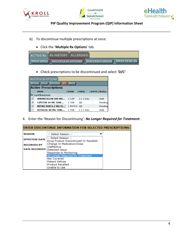





- b) To discontinue multiple prescriptions at once:
	- Click the '**Multiple Rx Options**' tab.

| ACTIVE Rx Rx HISTORY ALLERGIES                        |  |  |                       |
|-------------------------------------------------------|--|--|-----------------------|
| <b>PRINT MENU MULTIPLE Rx OPTIONS DISPENSED DRUGS</b> |  |  | <b>PRINT PEND. Rx</b> |

Check prescriptions to be discontinued and select '**D/C'**.

| <b>MULTIPLE Rx OPTIONS</b>                      |             |                  |               |  |  |  |
|-------------------------------------------------|-------------|------------------|---------------|--|--|--|
| HOLD RELEASE DIC<br><b>BACK</b><br><b>RENEW</b> |             |                  |               |  |  |  |
| <b>Active Prescriptions</b>                     |             |                  |               |  |  |  |
| <b>DRUG</b>                                     | <b>DOSE</b> | <b>FREO</b>      | DAYS   Status |  |  |  |
| Continuous                                      |             |                  |               |  |  |  |
| AMOXICILLIN 500 MG                              | 1 CAP       | $3 \times 1$ Day | Hold          |  |  |  |
| LIPITOR 10 MG TABL                              | 1 TAB       | OD               | Pending       |  |  |  |
| NITRO-DUR 0.2 MG/H                              | 1 PATCH OD  |                  | Pending       |  |  |  |
| SOTALOL 80 MG TABL                              | 1 TAB       | $1 \times 1$ Day | Hold          |  |  |  |

4. Enter the 'Reason for Discontinuing': *No Longer Required for Treatment.*

| <b>ENTER DISCONTINUE INFORMATION FOR SELECTED PRESCRIPTIONS:</b> |                                                              |  |  |  |  |
|------------------------------------------------------------------|--------------------------------------------------------------|--|--|--|--|
| <b>REASON</b>                                                    | -- Select Reason --                                          |  |  |  |  |
| <b>EFFECTIVE DATE</b>                                            | -- Select Reason --<br>Drug Product Discontinued Or Recalled |  |  |  |  |
| <b>RECORDED BY</b>                                               | Change In Medication/Dose<br><b>Ineffective</b>              |  |  |  |  |
|                                                                  | <b>DATE RECORDED</b><br>Detected Issue                       |  |  |  |  |
|                                                                  | Response to Monitoring<br>No Longer Required for Treatment   |  |  |  |  |
|                                                                  | Not Covered                                                  |  |  |  |  |
|                                                                  | <b>Patient Refuse</b><br><b>Product Recalled</b>             |  |  |  |  |
|                                                                  | Unable to Use                                                |  |  |  |  |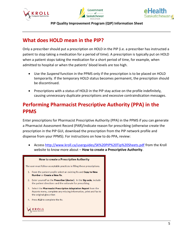





#### <span id="page-6-0"></span>**What does HOLD mean in the PIP?**

Only a prescriber should put a prescription on HOLD in the PIP (i.e. a prescriber has instructed a patient to stop taking a medication for a period of time). A prescription is typically put on HOLD when a patient stops taking the medication for a short period of time, for example, when admitted to hospital or when the patients' blood levels are too high.

- Use the *Suspend* function in the PPMS only if the prescription is to be placed on HOLD temporarily. If the temporary HOLD status becomes permanent, the prescription should be discontinued.
- Prescriptions with a status of HOLD in the PIP stay active on the profile indefinitely, causing unnecessary duplicate prescriptions and excessive contraindication messages.

## <span id="page-6-1"></span>**Performing Pharmacist Prescriptive Authority (PPA) in the PPMS**

Enter prescriptions for Pharmacist Prescriptive Authority (PPA) in the PPMS if you can generate a Pharmacist Assessment Record (PAR)/indicate reason for prescribing (otherwise create the prescription in the PIP GUI, download the prescription from the PIP network profile and dispense from your PPMS). For instructions on how to do PPA, review:

 Access<http://www.kroll.ca/userguides/SK%20PIP%20Tip%20Sheets.pdf> from the Kroll website to know more about – **How to create a Prescriptive Authority**.

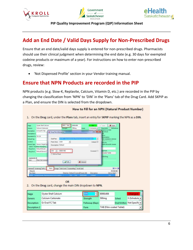





#### <span id="page-7-0"></span>**Add an End Date / Valid Days Supply for Non-Prescribed Drugs**

Ensure that an end date/valid days supply is entered for non-prescribed drugs. Pharmacists should use their clinical judgment when determining the end date (e.g. 30 days for exempted codeine products or maximum of a year). For instructions on how to enter non-prescribed drugs, review:

'Not Dispensed Profile' section in your Vendor training manual.

#### <span id="page-7-1"></span>**Ensure that NPN Products are recorded in the PIP**

NPN products (e.g. Slow-K, Replavite, Calcium, Vitamin D, etc.) are recorded in the PIP by changing the classification from 'NPN' to 'DIN' in the 'Plans' tab of the Drug Card. Add SKPIP as a Plan, and ensure the DIN is selected from the dropdown.



OR

2. On the Drug card, change the main DIN dropdown to NPN.

| Name               | <b>Oyster Shell Calcium</b> |                 | 80001408          |                          |                                     |
|--------------------|-----------------------------|-----------------|-------------------|--------------------------|-------------------------------------|
| Generic            | Calcium Carbonate           | Strength        | 500 <sub>mg</sub> | Sched                    | $3$ (Schedule $\blacktriangleright$ |
| <b>Description</b> | Gr Oval FC Tab              | Followup (Days) |                   |                          | Oral/Written Not Specific -         |
| Description 2      |                             | Form            |                   | TAB (Film-coated Tablet) |                                     |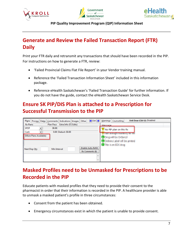





## <span id="page-8-0"></span>**Generate and Review the Failed Transaction Report (FTR) Daily**

Print your FTR daily and retransmit any transactions that should have been recorded in the PIP. For instructions on how to generate a FTR, review:

- 'Failed Provincial Claims Flat File Report' in your Vendor training manual.
- Reference the 'Failed Transaction Information Sheet' included in this information package.
- Reference eHealth Saskatchewan's 'Failed Transaction Guide' for further information. If you do not have the guide, contact the eHealth Saskatchewan Service Desk.

## <span id="page-8-1"></span>**Ensure SK PIP/DIS Plan is attached to a Prescription for Successful Transmission to the PIP**

| $\leftarrow$ Ctrl $\rightarrow$<br><b>Pricing</b><br>Plans<br>Dates   Comments   Indications   Images   Other | Unit Dose (Ctrl-U): Disabled<br>Warnings   Counselling |
|---------------------------------------------------------------------------------------------------------------|--------------------------------------------------------|
| <b>Rx Plans</b><br>Extra Info (F2 Edits)<br>Plan Pays                                                         | Message                                                |
| 38.08<br><b>SPDP</b><br>▼                                                                                     | $\sqrt{2}$<br>No PIP plan on this Rx                   |
| 0.00 Deduct: \$0.00<br>Cash                                                                                   |                                                        |
| (More Plans Available)                                                                                        |                                                        |
| <b>Enable Auto-Refill</b><br>Min Interval<br>Next Disp Qty<br>Rx Comments (0)<br>∸                            | <b><i>BARBOONS</i></b>                                 |
| $\overline{\phantom{a}}$                                                                                      |                                                        |

## <span id="page-8-2"></span>**Masked Profiles need to be Unmasked for Prescriptions to be Recorded in the PIP**

Educate patients with masked profiles that they need to provide their consent to the pharmacist in order that their information is recorded in the PIP. A healthcare provider is able to unmask a masked patient's profile in three circumstances:

- Consent from the patient has been obtained.
- Emergency circumstances exist in which the patient is unable to provide consent.